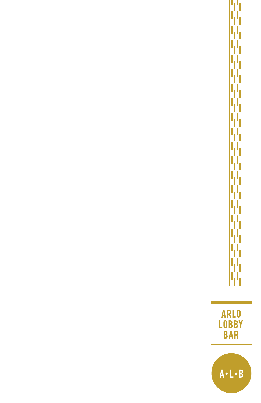ARLO<br>LOBBY<br>BAR

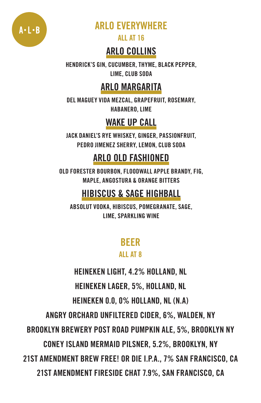

## ARLO EVERYWHERE

ALL AT 16

### ARLO COLLINS

HENDRICK'S GIN, CUCUMBER, THYME, BLACK PEPPER, LIME, CLUB SODA

### ARLO MARGARITA

DEL MAGUEY VIDA MEZCAL, GRAPEFRUIT, ROSEMARY, HABANERO, LIME

## WAKE UP CALL

JACK DANIEL'S RYE WHISKEY, GINGER, PASSIONFRUIT, PEDRO JIMENEZ SHERRY, LEMON, CLUB SODA

#### ARLO OLD FASHIONED

OLD FORESTER BOURBON, FLOODWALL APPLE BRANDY, FIG, MAPLE, ANGOSTURA & ORANGE BITTERS

### HIBISCUS & SAGE HIGHBALL

ABSOLUT VODKA, HIBISCUS, POMEGRANATE, SAGE, LIME, SPARKLING WINE

#### BEER

#### ALL AT 8

**HEINEKEN LIGHT, 4.2% HOLLAND, NL**

**HEINEKEN LAGER, 5%, HOLLAND, NL**

**HEINEKEN 0.0, 0% HOLLAND, NL (N.A)**

**ANGRY ORCHARD UNFILTERED CIDER, 6%, WALDEN, NY**

**BROOKLYN BREWERY POST ROAD PUMPKIN ALE, 5%, BROOKLYN NY**

**CONEY ISLAND MERMAID PILSNER, 5.2%, BROOKLYN, NY**

**21ST AMENDMENT BREW FREE! OR DIE I.P.A., 7% SAN FRANCISCO, CA**

**21ST AMENDMENT FIRESIDE CHAT 7.9%, SAN FRANCISCO, CA**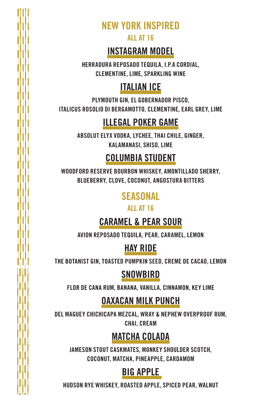**NEW YORK INSPIRED**

ALL AT 16

#### INSTAGRAM MODEL

HERRADURA REPOSADO TEQUILA, I.P.A CORDIAL, CLEMENTINE, LIME, SPARKLING WINE

## ITALIAN ICE

PLYMOUTH GIN, EL GOBERNADOR PISCO, ITALICUS ROSOLIO DI BERGAMOTTO, CLEMENTINE, EARL GREY, LIME

## ILLEGAL POKER GAME

ABSOLUT ELYX VODKA, LYCHEE, THAI CHILE, GINGER, KALAMANASI, SHISO, LIME

#### COLUMBIA STUDENT

WOODFORD RESERVE BOURBON WHISKEY, AMONTILLADO SHERRY, BLUEBERRY, CLOVE, COCONUT, ANGOSTURA BITTERS

#### **SEASONAL**

ALL AT 16

### CARAMEL & PEAR SOUR

AVION REPOSADO TEQUILA, PEAR, CARAMEL, LEMON

### HAY RIDE

THE BOTANIST GIN, TOASTED PUMPKIN SEED, CREME DE CACAO, LEMON

#### **SNOWBIRD**

FLOR DE CANA RUM, BANANA, VANILLA, CINNAMON, KEY LIME

#### OAXACAN MILK PUNCH

DEL MAGUEY CHICHICAPA MEZCAL, WRAY & NEPHEW OVERPROOF RUM, CHAI, CREAM

#### MATCHA COLADA

JAMESON STOUT CASKMATES, MONKEY SHOULDER SCOTCH, COCONUT, MATCHA, PINEAPPLE, CARDAMOM

## BIG APPLE

HUDSON RYE WHISKEY, ROASTED APPLE, SPICED PEAR, WALNUT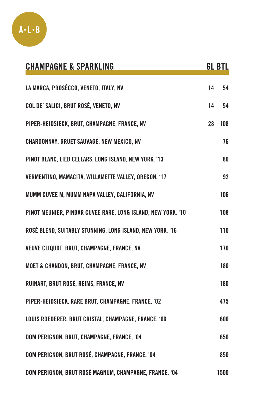

| <b>CHAMPAGNE &amp; SPARKLING</b>                             |    | <b>GL BTL</b> |
|--------------------------------------------------------------|----|---------------|
| LA MARCA, PROSÉCCO, VENETO, ITALY, NV                        | 14 | 54            |
| COL DE' SALICI, BRUT ROSÉ, VENETO, NV                        | 14 | 54            |
| PIPER-HEIDSIECK, BRUT, CHAMPAGNE, FRANCE, NV                 | 28 | 108           |
| CHARDONNAY, GRUET SAUVAGE, NEW MEXICO, NV                    |    | 76            |
| PINOT BLANC, LIEB CELLARS, LONG ISLAND, NEW YORK, '13        |    | 80            |
| VERMENTINO, MAMACITA, WILLAMETTE VALLEY, OREGON, '17         |    | 92            |
| MUMM CUVEE M, MUMM NAPA VALLEY, CALIFORNIA, NV               |    | 106           |
| PINOT MEUNIER, PINDAR CUVEE RARE, LONG ISLAND, NEW YORK, '10 |    | 108           |
| ROSÉ BLEND, SUITABLY STUNNING, LONG ISLAND, NEW YORK, '16    |    | 110           |
| VEUVE CLIQUOT, BRUT, CHAMPAGNE, FRANCE, NV                   |    | 170           |
| MOET & CHANDON, BRUT, CHAMPAGNE, FRANCE, NV                  |    | 180           |
| RUINART, BRUT ROSÉ, REIMS, FRANCE, NV                        |    | 180           |
| PIPER-HEIDSIECK, RARE BRUT, CHAMPAGNE, FRANCE, '02           |    | 475           |
| LOUIS ROEDERER, BRUT CRISTAL, CHAMPAGNE, FRANCE, '06         |    | 600           |
| DOM PERIGNON, BRUT, CHAMPAGNE, FRANCE, '04                   |    | 650           |
| DOM PERIGNON, BRUT ROSÉ, CHAMPAGNE, FRANCE, '04              |    | 850           |
| DOM PERIGNON, BRUT ROSÉ MAGNUM, CHAMPAGNE, FRANCE. '04       |    | 1500          |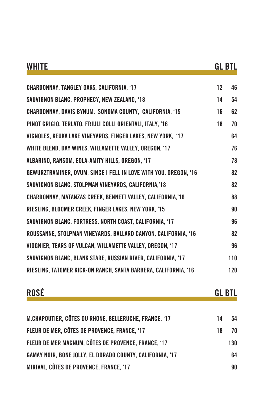| <b>WHITE</b>                                                      |    | <b>GL BTL</b> |
|-------------------------------------------------------------------|----|---------------|
| <b>CHARDONNAY, TANGLEY OAKS, CALIFORNIA, '17</b>                  | 12 | 46            |
| SAUVIGNON BLANC, PROPHECY, NEW ZEALAND, '18                       | 14 | 54            |
| <b>CHARDONNAY, DAVIS BYNUM, SONOMA COUNTY, CALIFORNIA, '15</b>    | 16 | 62            |
| PINOT GRIGIO, TERLATO, FRIULI COLLI ORIENTALI, ITALY, '16         | 18 | 70            |
| VIGNOLES, KEUKA LAKE VINEYARDS, FINGER LAKES, NEW YORK, '17       |    | 64            |
| WHITE BLEND, DAY WINES, WILLAMETTE VALLEY, OREGON, '17            |    | 76            |
| ALBARINO, RANSOM, EOLA-AMITY HILLS, OREGON, '17                   |    | 78            |
| GEWURZTRAMINER, OVUM, SINCE I FELL IN LOVE WITH YOU, OREGON, '16  |    | 82            |
| SAUVIGNON BLANC, STOLPMAN VINEYARDS, CALIFORNIA,'18               |    | 82            |
| <b>CHARDONNAY, MATANZAS CREEK, BENNETT VALLEY, CALIFORNIA,'16</b> |    | 88            |
| RIESLING, BLOOMER CREEK, FINGER LAKES, NEW YORK, '15              |    | 90            |
| SAUVIGNON BLANC, FORTRESS, NORTH COAST, CALIFORNIA, '17           |    | 96            |
| ROUSSANNE, STOLPMAN VINEYARDS, BALLARD CANYON, CALIFORNIA, '16    |    | 82            |
| VIOGNIER, TEARS OF VULCAN, WILLAMETTE VALLEY, OREGON, '17         |    | 96            |
| SAUVIGNON BLANC, BLANK STARE, RUSSIAN RIVER, CALIFORNIA, '17      |    | 110           |
| RIESLING, TATOMER KICK-ON RANCH, SANTA BARBERA, CALIFORNIA, '16   |    | 120           |

| nncŕ |  | --<br>СI. |
|------|--|-----------|
|      |  |           |

| M.CHAPOUTIER, CÔTES DU RHONE, BELLERUCHE, FRANCE, '17     | 14 | 54  |
|-----------------------------------------------------------|----|-----|
| FLEUR DE MER, CÔTES DE PROVENCE, FRANCE, '17              | 18 | 70  |
| FLEUR DE MER MAGNUM, CÔTES DE PROVENCE, FRANCE, '17       |    | 130 |
| GAMAY NOIR, BONE JOLLY, EL DORADO COUNTY, CALIFORNIA, '17 |    | 64  |
| MIRIVAL, CÔTES DE PROVENCE, FRANCE, '17                   |    | 90  |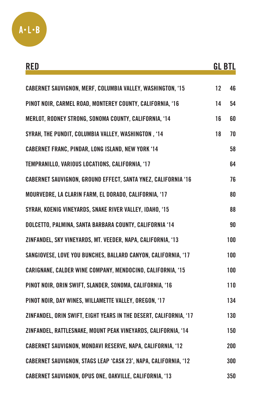

| RED                                                                  |    | <b>GL BTL</b> |
|----------------------------------------------------------------------|----|---------------|
| <b>CABERNET SAUVIGNON, MERF, COLUMBIA VALLEY, WASHINGTON, '15</b>    | 12 | 46            |
| PINOT NOIR, CARMEL ROAD, MONTEREY COUNTY, CALIFORNIA, '16            | 14 | 54            |
| MERLOT, RODNEY STRONG, SONOMA COUNTY, CALIFORNIA, '14                | 16 | 60            |
| SYRAH, THE PUNDIT, COLUMBIA VALLEY, WASHINGTON, '14                  | 18 | 70            |
| <b>CABERNET FRANC, PINDAR, LONG ISLAND, NEW YORK '14</b>             |    | 58            |
| TEMPRANILLO, VARIOUS LOCATIONS, CALIFORNIA, '17                      |    | 64            |
| <b>CABERNET SAUVIGNON, GROUND EFFECT, SANTA YNEZ, CALIFORNIA '16</b> |    | 76            |
| MOURVEDRE, LA CLARIN FARM, EL DORADO, CALIFORNIA, '17                |    | 80            |
| SYRAH, KOENIG VINEYARDS, SNAKE RIVER VALLEY, IDAHO, '15              |    | 88            |
| DOLCETTO, PALMINA, SANTA BARBARA COUNTY, CALIFORNIA '14              |    | 90            |
| ZINFANDEL, SKY VINEYARDS, MT. VEEDER, NAPA, CALIFORNIA, '13          |    | 100           |
| SANGIOVESE, LOVE YOU BUNCHES, BALLARD CANYON, CALIFORNIA, '17        |    | 100           |
| CARIGNANE, CALDER WINE COMPANY, MENDOCINO, CALIFORNIA, '15           |    | 100           |
| PINOT NOIR, ORIN SWIFT, SLANDER, SONOMA, CALIFORNIA, '16             |    | 110           |
| PINOT NOIR, DAY WINES, WILLAMETTE VALLEY, OREGON, '17                |    | 134           |
| ZINFANDEL, ORIN SWIFT, EIGHT YEARS IN THE DESERT, CALIFORNIA, '17    |    | 130           |
| ZINFANDEL, RATTLESNAKE, MOUNT PEAK VINEYARDS, CALIFORNIA, '14        |    | 150           |
| CABERNET SAUVIGNON, MONDAVI RESERVE, NAPA, CALIFORNIA, '12           |    | 200           |
| CABERNET SAUVIGNON, STAGS LEAP 'CASK 23', NAPA, CALIFORNIA, '12      |    | 300           |
| <b>CABERNET SAUVIGNON, OPUS ONE, OAKVILLE, CALIFORNIA, '13</b>       |    | 350           |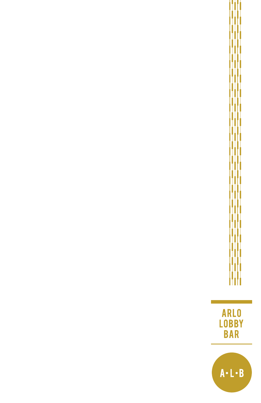ARLO<br>LOBBY<br>BAR

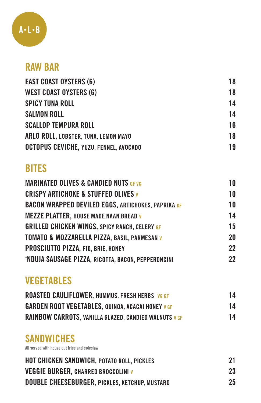

#### RAW BAR

| 18 |
|----|
| 18 |
| 14 |
| 14 |
| 16 |
| 18 |
| 19 |
|    |

## **BITES**

| <b>MARINATED OLIVES &amp; CANDIED NUTS GF VG</b>          | 10 |
|-----------------------------------------------------------|----|
| <b>CRISPY ARTICHOKE &amp; STUFFED OLIVES v</b>            | 10 |
| <b>BACON WRAPPED DEVILED EGGS, ARTICHOKES, PAPRIKA GF</b> | 10 |
| <b>MEZZE PLATTER, HOUSE MADE NAAN BREAD V</b>             | 14 |
| <b>GRILLED CHICKEN WINGS, SPICY RANCH, CELERY GF</b>      | 15 |
| TOMATO & MOZZARELLA PIZZA, BASIL, PARMESAN V              | 20 |
| PROSCIUTTO PIZZA, FIG, BRIE, HONEY                        | 22 |
| 'NDUJA SAUSAGE PIZZA, RICOTTA, BACON, PEPPERONCINI        | 22 |

# VEGETABLES

| <b>ROASTED CAULIFLOWER, HUMMUS, FRESH HERBS, VG GF</b>       | 14 |
|--------------------------------------------------------------|----|
| <b>GARDEN ROOT VEGETABLES, QUINOA, ACACAI HONEY V GF</b>     | 14 |
| <b>RAINBOW CARROTS, VANILLA GLAZED, CANDIED WALNUTS V GF</b> | 14 |

## **SANDWICHES**

**All served with house cut fries and coleslaw** 

| <b>HOT CHICKEN SANDWICH, POTATO ROLL, PICKLES</b>     | 21 |
|-------------------------------------------------------|----|
| <b>VEGGIE BURGER, CHARRED BROCCOLINI V</b>            | 23 |
| <b>DOUBLE CHEESEBURGER, PICKLES, KETCHUP, MUSTARD</b> | 25 |